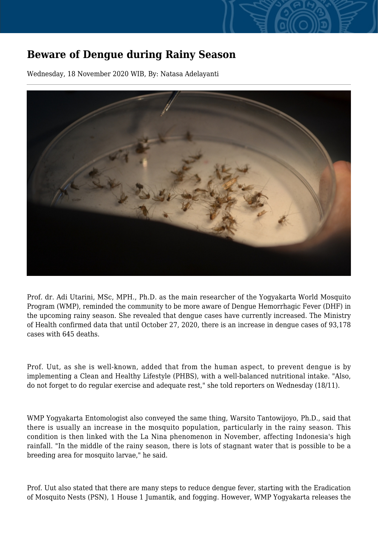## **Beware of Dengue during Rainy Season**

Wednesday, 18 November 2020 WIB, By: Natasa Adelayanti



Prof. dr. Adi Utarini, MSc, MPH., Ph.D. as the main researcher of the Yogyakarta World Mosquito Program (WMP), reminded the community to be more aware of Dengue Hemorrhagic Fever (DHF) in the upcoming rainy season. She revealed that dengue cases have currently increased. The Ministry of Health confirmed data that until October 27, 2020, there is an increase in dengue cases of 93,178 cases with 645 deaths.

Prof. Uut, as she is well-known, added that from the human aspect, to prevent dengue is by implementing a Clean and Healthy Lifestyle (PHBS), with a well-balanced nutritional intake. "Also, do not forget to do regular exercise and adequate rest," she told reporters on Wednesday (18/11).

WMP Yogyakarta Entomologist also conveyed the same thing, Warsito Tantowijoyo, Ph.D., said that there is usually an increase in the mosquito population, particularly in the rainy season. This condition is then linked with the La Nina phenomenon in November, affecting Indonesia's high rainfall. "In the middle of the rainy season, there is lots of stagnant water that is possible to be a breeding area for mosquito larvae," he said.

Prof. Uut also stated that there are many steps to reduce dengue fever, starting with the Eradication of Mosquito Nests (PSN), 1 House 1 Jumantik, and fogging. However, WMP Yogyakarta releases the